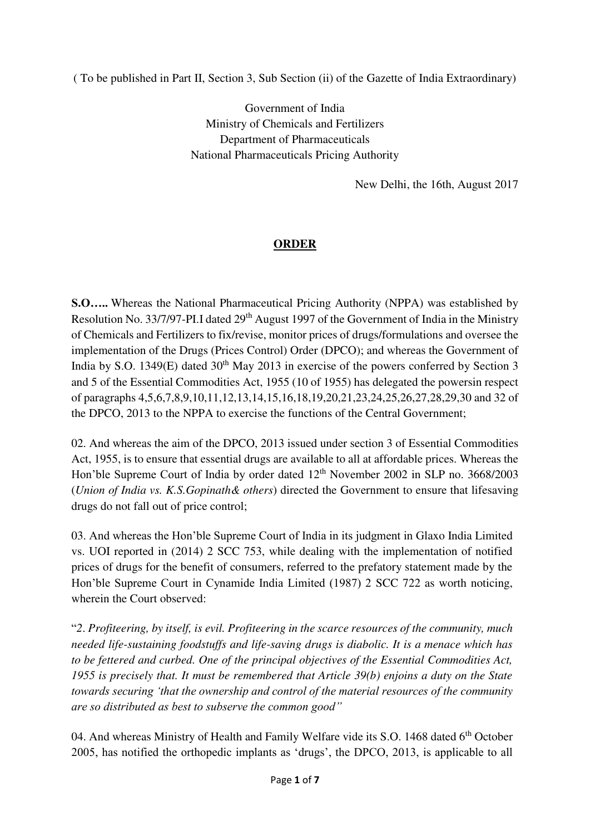( To be published in Part II, Section 3, Sub Section (ii) of the Gazette of India Extraordinary)

Government of India Ministry of Chemicals and Fertilizers Department of Pharmaceuticals National Pharmaceuticals Pricing Authority

New Delhi, the 16th, August 2017

## **ORDER**

**S.O…..** Whereas the National Pharmaceutical Pricing Authority (NPPA) was established by Resolution No. 33/7/97-PI.I dated  $29<sup>th</sup>$  August 1997 of the Government of India in the Ministry of Chemicals and Fertilizers to fix/revise, monitor prices of drugs/formulations and oversee the implementation of the Drugs (Prices Control) Order (DPCO); and whereas the Government of India by S.O. 1349 $(E)$  dated 30<sup>th</sup> May 2013 in exercise of the powers conferred by Section 3 and 5 of the Essential Commodities Act, 1955 (10 of 1955) has delegated the powersin respect of paragraphs 4,5,6,7,8,9,10,11,12,13,14,15,16,18,19,20,21,23,24,25,26,27,28,29,30 and 32 of the DPCO, 2013 to the NPPA to exercise the functions of the Central Government;

02. And whereas the aim of the DPCO, 2013 issued under section 3 of Essential Commodities Act, 1955, is to ensure that essential drugs are available to all at affordable prices. Whereas the Hon'ble Supreme Court of India by order dated 12<sup>th</sup> November 2002 in SLP no. 3668/2003 (*Union of India vs. K.S.Gopinath& others*) directed the Government to ensure that lifesaving drugs do not fall out of price control;

03. And whereas the Hon'ble Supreme Court of India in its judgment in Glaxo India Limited vs. UOI reported in (2014) 2 SCC 753, while dealing with the implementation of notified prices of drugs for the benefit of consumers, referred to the prefatory statement made by the Hon'ble Supreme Court in Cynamide India Limited (1987) 2 SCC 722 as worth noticing, wherein the Court observed:

"*2*. *Profiteering, by itself, is evil. Profiteering in the scarce resources of the community, much needed life-sustaining foodstuffs and life-saving drugs is diabolic. It is a menace which has to be fettered and curbed. One of the principal objectives of the Essential Commodities Act, 1955 is precisely that. It must be remembered that Article 39(b) enjoins a duty on the State towards securing 'that the ownership and control of the material resources of the community are so distributed as best to subserve the common good"*

04. And whereas Ministry of Health and Family Welfare vide its S.O. 1468 dated 6<sup>th</sup> October 2005, has notified the orthopedic implants as 'drugs', the DPCO, 2013, is applicable to all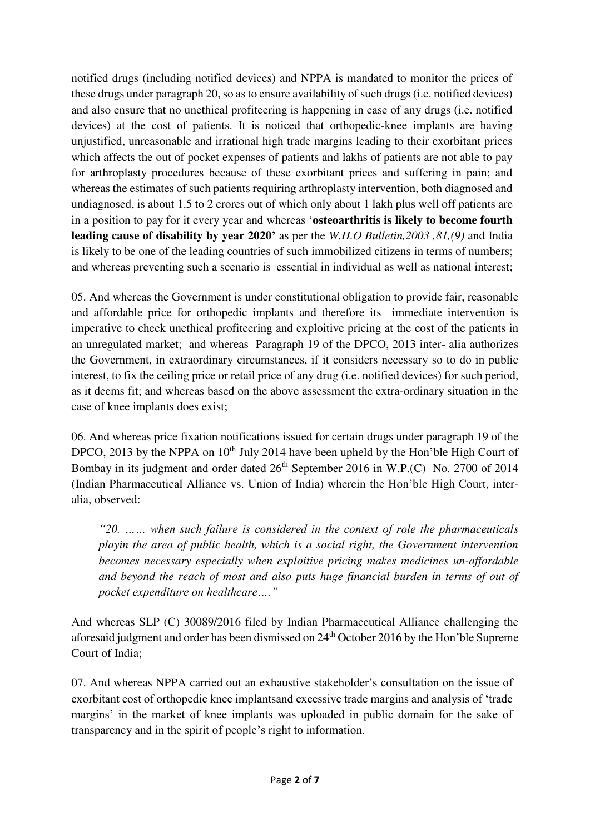notified drugs (including notified devices) and NPPA is mandated to monitor the prices of these drugs under paragraph 20, so as to ensure availability of such drugs (i.e. notified devices) and also ensure that no unethical profiteering is happening in case of any drugs (i.e. notified devices) at the cost of patients. It is noticed that orthopedic-knee implants are having unjustified, unreasonable and irrational high trade margins leading to their exorbitant prices which affects the out of pocket expenses of patients and lakhs of patients are not able to pay for arthroplasty procedures because of these exorbitant prices and suffering in pain; and whereas the estimates of such patients requiring arthroplasty intervention, both diagnosed and undiagnosed, is about 1.5 to 2 crores out of which only about 1 lakh plus well off patients are in a position to pay for it every year and whereas '**osteoarthritis is likely to become fourth leading cause of disability by year 2020'** as per the *W.H.O Bulletin,2003 ,81,(9)* and India is likely to be one of the leading countries of such immobilized citizens in terms of numbers; and whereas preventing such a scenario is essential in individual as well as national interest;

05. And whereas the Government is under constitutional obligation to provide fair, reasonable and affordable price for orthopedic implants and therefore its immediate intervention is imperative to check unethical profiteering and exploitive pricing at the cost of the patients in an unregulated market; and whereas Paragraph 19 of the DPCO, 2013 inter- alia authorizes the Government, in extraordinary circumstances, if it considers necessary so to do in public interest, to fix the ceiling price or retail price of any drug (i.e. notified devices) for such period, as it deems fit; and whereas based on the above assessment the extra-ordinary situation in the case of knee implants does exist;

06. And whereas price fixation notifications issued for certain drugs under paragraph 19 of the DPCO, 2013 by the NPPA on  $10<sup>th</sup>$  July 2014 have been upheld by the Hon'ble High Court of Bombay in its judgment and order dated  $26<sup>th</sup>$  September 2016 in W.P.(C) No. 2700 of 2014 (Indian Pharmaceutical Alliance vs. Union of India) wherein the Hon'ble High Court, interalia, observed:

*"20. …… when such failure is considered in the context of role the pharmaceuticals playin the area of public health, which is a social right, the Government intervention becomes necessary especially when exploitive pricing makes medicines un-affordable*  and beyond the reach of most and also puts huge financial burden in terms of out of *pocket expenditure on healthcare…."*

And whereas SLP (C) 30089/2016 filed by Indian Pharmaceutical Alliance challenging the aforesaid judgment and order has been dismissed on 24<sup>th</sup> October 2016 by the Hon'ble Supreme Court of India;

07. And whereas NPPA carried out an exhaustive stakeholder's consultation on the issue of exorbitant cost of orthopedic knee implantsand excessive trade margins and analysis of 'trade margins' in the market of knee implants was uploaded in public domain for the sake of transparency and in the spirit of people's right to information.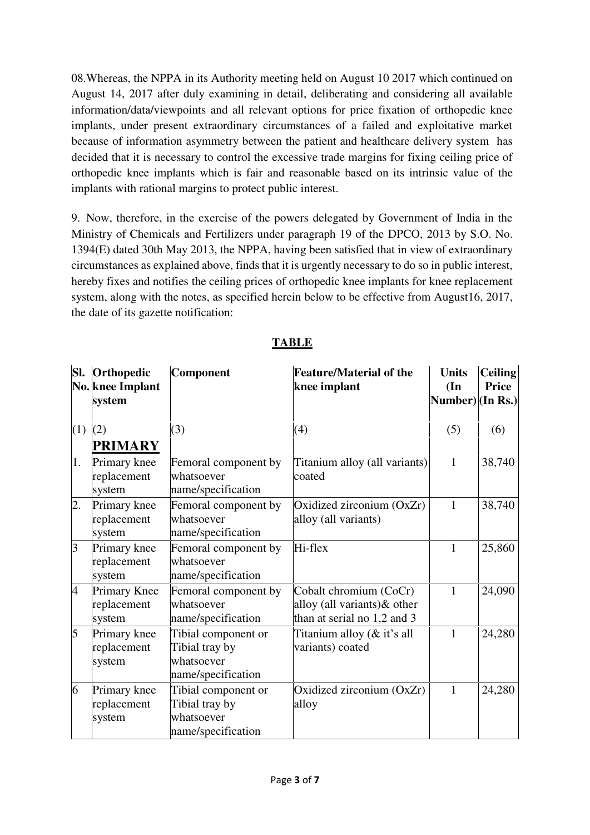08.Whereas, the NPPA in its Authority meeting held on August 10 2017 which continued on August 14, 2017 after duly examining in detail, deliberating and considering all available information/data/viewpoints and all relevant options for price fixation of orthopedic knee implants, under present extraordinary circumstances of a failed and exploitative market because of information asymmetry between the patient and healthcare delivery system has decided that it is necessary to control the excessive trade margins for fixing ceiling price of orthopedic knee implants which is fair and reasonable based on its intrinsic value of the implants with rational margins to protect public interest.

9. Now, therefore, in the exercise of the powers delegated by Government of India in the Ministry of Chemicals and Fertilizers under paragraph 19 of the DPCO, 2013 by S.O. No. 1394(E) dated 30th May 2013, the NPPA, having been satisfied that in view of extraordinary circumstances as explained above, finds that it is urgently necessary to do so in public interest, hereby fixes and notifies the ceiling prices of orthopedic knee implants for knee replacement system, along with the notes, as specified herein below to be effective from August16, 2017, the date of its gazette notification:

|     | Sl. Orthopedic<br>No. knee Implant<br>system | Component                                                                 | <b>Feature/Material of the</b><br>knee implant                                        | <b>Units</b><br>(In<br>Number) $\vert$ (In Rs.) | <b>Ceiling</b><br>Price |
|-----|----------------------------------------------|---------------------------------------------------------------------------|---------------------------------------------------------------------------------------|-------------------------------------------------|-------------------------|
| (1) | (2)                                          | (3)                                                                       | (4)                                                                                   | (5)                                             | (6)                     |
|     | <b>PRIMARY</b>                               |                                                                           |                                                                                       |                                                 |                         |
| 1.  | Primary knee<br>replacement<br>system        | Femoral component by<br>whatsoever<br>name/specification                  | Titanium alloy (all variants)<br>coated                                               | $\mathbf{1}$                                    | 38,740                  |
| 2.  | Primary knee<br>replacement<br>system        | Femoral component by<br>whatsoever<br>name/specification                  | Oxidized zirconium (OxZr)<br>alloy (all variants)                                     | $\mathbf{1}$                                    | 38,740                  |
| 3   | Primary knee<br>replacement<br>system        | Femoral component by<br>whatsoever<br>name/specification                  | Hi-flex                                                                               | 1                                               | 25,860                  |
| 4   | <b>Primary Knee</b><br>replacement<br>system | Femoral component by<br>whatsoever<br>name/specification                  | Cobalt chromium (CoCr)<br>alloy (all variants) & other<br>than at serial no 1,2 and 3 | 1                                               | 24,090                  |
| 5   | Primary knee<br>replacement<br>system        | Tibial component or<br>Tibial tray by<br>whatsoever<br>name/specification | Titanium alloy (& it's all<br>variants) coated                                        | $\mathbf{1}$                                    | 24,280                  |
| 6   | Primary knee<br>replacement<br>system        | Tibial component or<br>Tibial tray by<br>whatsoever<br>name/specification | Oxidized zirconium (OxZr)<br>alloy                                                    | $\mathbf{1}$                                    | 24,280                  |

**TABLE**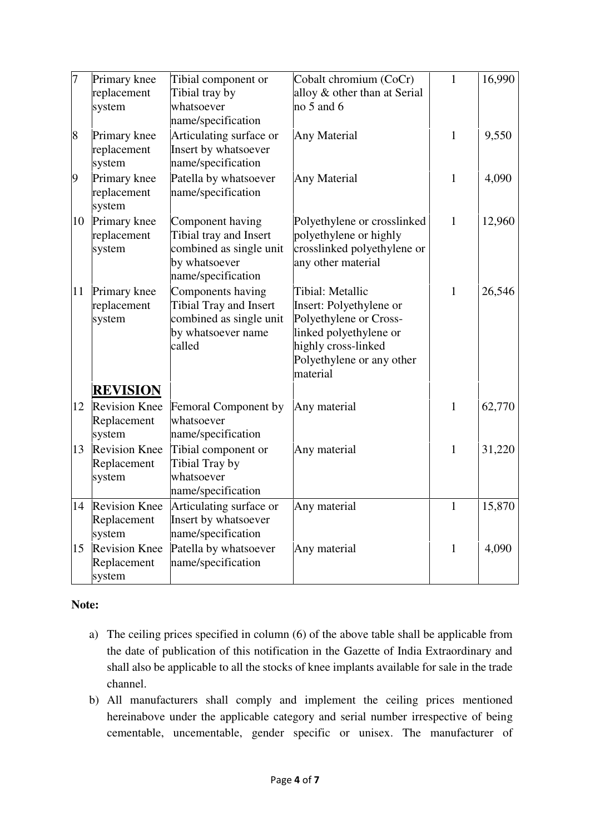| 7  | Primary knee<br>replacement<br>system                            | Tibial component or<br>Tibial tray by<br>whatsoever<br>name/specification                                     | Cobalt chromium (CoCr)<br>alloy & other than at Serial<br>$no5$ and 6                                                                                           | $\mathbf{1}$ | 16,990 |
|----|------------------------------------------------------------------|---------------------------------------------------------------------------------------------------------------|-----------------------------------------------------------------------------------------------------------------------------------------------------------------|--------------|--------|
| 8  | Primary knee<br>replacement<br>system                            | Articulating surface or<br>Insert by whatsoever<br>name/specification                                         | Any Material                                                                                                                                                    | $\mathbf{1}$ | 9,550  |
| 9  | Primary knee<br>replacement<br>system                            | Patella by whatsoever<br>name/specification                                                                   | <b>Any Material</b>                                                                                                                                             | $\mathbf{1}$ | 4,090  |
| 10 | Primary knee<br>replacement<br>system                            | Component having<br>Tibial tray and Insert<br>combined as single unit<br>by whatsoever<br>name/specification  | Polyethylene or crosslinked<br>polyethylene or highly<br>crosslinked polyethylene or<br>any other material                                                      | $\mathbf{1}$ | 12,960 |
| 11 | Primary knee<br>replacement<br>system                            | Components having<br><b>Tibial Tray and Insert</b><br>combined as single unit<br>by whatsoever name<br>called | Tibial: Metallic<br>Insert: Polyethylene or<br>Polyethylene or Cross-<br>linked polyethylene or<br>highly cross-linked<br>Polyethylene or any other<br>material | $\mathbf{1}$ | 26,546 |
| 12 | <b>REVISION</b><br><b>Revision Knee</b><br>Replacement<br>system | Femoral Component by<br>whatsoever<br>name/specification                                                      | Any material                                                                                                                                                    | $\mathbf{1}$ | 62,770 |
| 13 | <b>Revision Knee</b><br>Replacement<br>system                    | Tibial component or<br>Tibial Tray by<br>whatsoever<br>name/specification                                     | Any material                                                                                                                                                    | $\mathbf{1}$ | 31,220 |
| 14 | <b>Revision Knee</b><br>Replacement<br>system                    | Articulating surface or<br>Insert by whatsoever<br>name/specification                                         | Any material                                                                                                                                                    | $\mathbf{1}$ | 15,870 |
| 15 | <b>Revision Knee</b><br>Replacement<br>system                    | Patella by whatsoever<br>name/specification                                                                   | Any material                                                                                                                                                    | $\mathbf{1}$ | 4,090  |

## **Note:**

- a) The ceiling prices specified in column (6) of the above table shall be applicable from the date of publication of this notification in the Gazette of India Extraordinary and shall also be applicable to all the stocks of knee implants available for sale in the trade channel.
- b) All manufacturers shall comply and implement the ceiling prices mentioned hereinabove under the applicable category and serial number irrespective of being cementable, uncementable, gender specific or unisex. The manufacturer of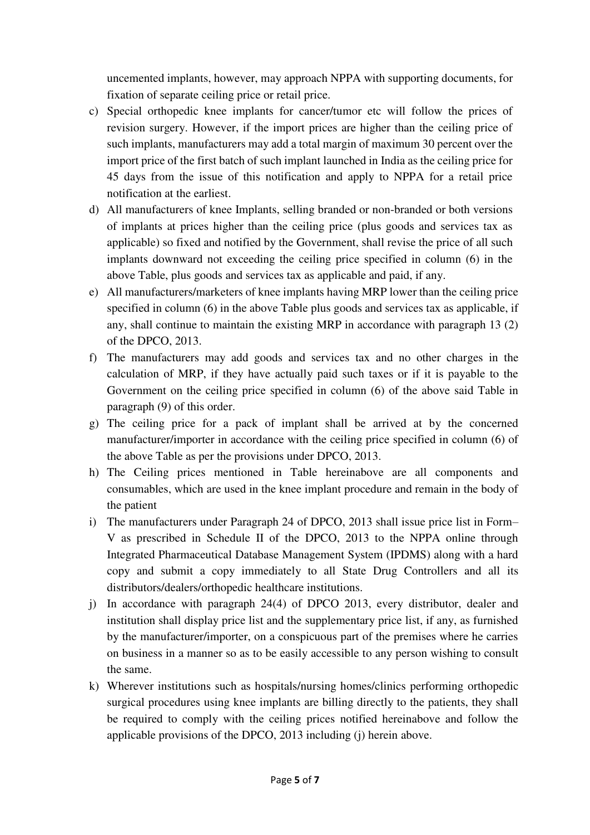uncemented implants, however, may approach NPPA with supporting documents, for fixation of separate ceiling price or retail price.

- c) Special orthopedic knee implants for cancer/tumor etc will follow the prices of revision surgery. However, if the import prices are higher than the ceiling price of such implants, manufacturers may add a total margin of maximum 30 percent over the import price of the first batch of such implant launched in India as the ceiling price for 45 days from the issue of this notification and apply to NPPA for a retail price notification at the earliest.
- d) All manufacturers of knee Implants, selling branded or non-branded or both versions of implants at prices higher than the ceiling price (plus goods and services tax as applicable) so fixed and notified by the Government, shall revise the price of all such implants downward not exceeding the ceiling price specified in column (6) in the above Table, plus goods and services tax as applicable and paid, if any.
- e) All manufacturers/marketers of knee implants having MRP lower than the ceiling price specified in column (6) in the above Table plus goods and services tax as applicable, if any, shall continue to maintain the existing MRP in accordance with paragraph 13 (2) of the DPCO, 2013.
- f) The manufacturers may add goods and services tax and no other charges in the calculation of MRP, if they have actually paid such taxes or if it is payable to the Government on the ceiling price specified in column (6) of the above said Table in paragraph (9) of this order.
- g) The ceiling price for a pack of implant shall be arrived at by the concerned manufacturer/importer in accordance with the ceiling price specified in column (6) of the above Table as per the provisions under DPCO, 2013.
- h) The Ceiling prices mentioned in Table hereinabove are all components and consumables, which are used in the knee implant procedure and remain in the body of the patient
- i) The manufacturers under Paragraph 24 of DPCO, 2013 shall issue price list in Form– V as prescribed in Schedule II of the DPCO, 2013 to the NPPA online through Integrated Pharmaceutical Database Management System (IPDMS) along with a hard copy and submit a copy immediately to all State Drug Controllers and all its distributors/dealers/orthopedic healthcare institutions.
- j) In accordance with paragraph 24(4) of DPCO 2013, every distributor, dealer and institution shall display price list and the supplementary price list, if any, as furnished by the manufacturer/importer, on a conspicuous part of the premises where he carries on business in a manner so as to be easily accessible to any person wishing to consult the same.
- k) Wherever institutions such as hospitals/nursing homes/clinics performing orthopedic surgical procedures using knee implants are billing directly to the patients, they shall be required to comply with the ceiling prices notified hereinabove and follow the applicable provisions of the DPCO, 2013 including (j) herein above.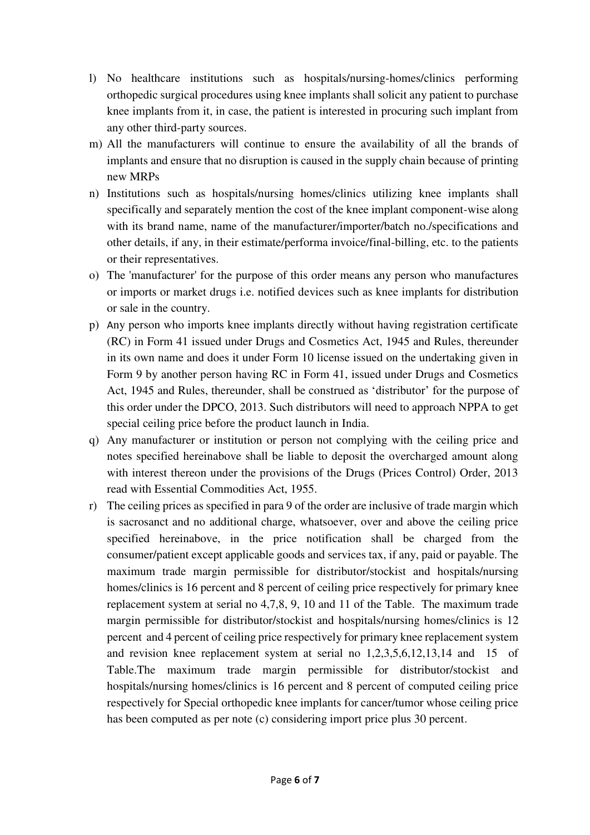- l) No healthcare institutions such as hospitals/nursing-homes/clinics performing orthopedic surgical procedures using knee implants shall solicit any patient to purchase knee implants from it, in case, the patient is interested in procuring such implant from any other third-party sources.
- m) All the manufacturers will continue to ensure the availability of all the brands of implants and ensure that no disruption is caused in the supply chain because of printing new MRPs
- n) Institutions such as hospitals/nursing homes/clinics utilizing knee implants shall specifically and separately mention the cost of the knee implant component-wise along with its brand name, name of the manufacturer/importer/batch no./specifications and other details, if any, in their estimate/performa invoice/final-billing, etc. to the patients or their representatives.
- o) The 'manufacturer' for the purpose of this order means any person who manufactures or imports or market drugs i.e. notified devices such as knee implants for distribution or sale in the country.
- p) Any person who imports knee implants directly without having registration certificate (RC) in Form 41 issued under Drugs and Cosmetics Act, 1945 and Rules, thereunder in its own name and does it under Form 10 license issued on the undertaking given in Form 9 by another person having RC in Form 41, issued under Drugs and Cosmetics Act, 1945 and Rules, thereunder, shall be construed as 'distributor' for the purpose of this order under the DPCO, 2013. Such distributors will need to approach NPPA to get special ceiling price before the product launch in India.
- q) Any manufacturer or institution or person not complying with the ceiling price and notes specified hereinabove shall be liable to deposit the overcharged amount along with interest thereon under the provisions of the Drugs (Prices Control) Order, 2013 read with Essential Commodities Act, 1955.
- r) The ceiling prices as specified in para 9 of the order are inclusive of trade margin which is sacrosanct and no additional charge, whatsoever, over and above the ceiling price specified hereinabove, in the price notification shall be charged from the consumer/patient except applicable goods and services tax, if any, paid or payable. The maximum trade margin permissible for distributor/stockist and hospitals/nursing homes/clinics is 16 percent and 8 percent of ceiling price respectively for primary knee replacement system at serial no 4,7,8, 9, 10 and 11 of the Table. The maximum trade margin permissible for distributor/stockist and hospitals/nursing homes/clinics is 12 percent and 4 percent of ceiling price respectively for primary knee replacement system and revision knee replacement system at serial no 1,2,3,5,6,12,13,14 and 15 of Table.The maximum trade margin permissible for distributor/stockist and hospitals/nursing homes/clinics is 16 percent and 8 percent of computed ceiling price respectively for Special orthopedic knee implants for cancer/tumor whose ceiling price has been computed as per note (c) considering import price plus 30 percent.